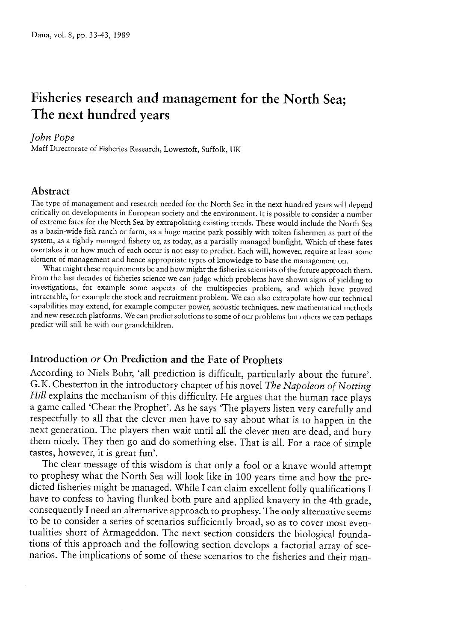# Fisheries research and management for the North Sea; The next hundred years

#### John Pope

Maff Directorate of Fisheries Research, Lowestoft, Suffolk, UK

# Abstract

The type of managemen<sup>t</sup> and research needed for the North Sea in the next hundred years will depend critically on developments in European society and the environment. It is possible to consider <sup>a</sup> number of extreme fates for the North Sea by extrapolating existing trends. These would include the North Sea as a basin-wide fish ranch or farm, as a huge marine park possibly with token fishermen as part of the system, as <sup>a</sup> tightly manage<sup>d</sup> fishery or, as today, as <sup>a</sup> partially manage<sup>d</sup> bunfight. Which of these fates overtakes it or how much of each occur is not easy to predict. Each will, however, require at least some element of management and hence appropriate types of knowledge to base the management on.

What might these requirements be and how might the fisheries scientists of the future approac<sup>h</sup> them. From the last decades of fisheries science we can judge which problems have shown signs of yielding to investigations, for example some aspects of the multispecies problem, and which have proved intractable, for example the stock and recruitment problem. We can also extrapolate how our technical capabilities may extend, for example computer power, acoustic techniques, new mathematical methods and new research <sup>p</sup>latforms. We can predict solutions to some of our problems but others we can perhaps predict will still be with our grandchildren.

# Introduction or On Prediction and the Fate of Prophets

According to Niels Bohr, 'all prediction is difficult, particularly about the future'.<br>G.K. Chesterton in the introductory chapter of his novel *The Napoleon of Notting* Hill explains the mechanism of this difficulty. He argues that the human race plays <sup>a</sup> game called 'Cheat the Prophet'. As he says 'The <sup>p</sup>layers listen very carefully and respectfully to all that the clever men have to say about what is to happen in the next generation. The players then wait until all the clever men are dead, and bury them nicely. They then go and do something else. That is all. For a race of simple tastes, however, it is great fun'.

The clear message of this wisdom is that only a fool or a knave would attempt to prophesy what the North Sea will look like in 100 years time and how the predicted fisheries might be managed. While I can claim excellent folly qualifications I have to confess to having flunked both pure and applied knavery in the 4th grade, consequently <sup>I</sup> need an alternative approach to prophesy. The only alternative seems to be to consider <sup>a</sup> series of scenarios sufficientiy broad, so as to cover most even tualities short of Armageddon. The next section considers the biological foundations of this approach and the following section develops a factorial array of scenarios. The implications of some of these scenarios to the fisheries and their man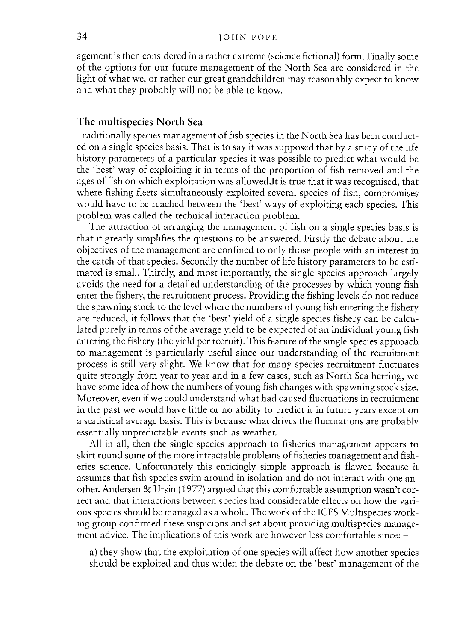agemen<sup>t</sup> is then considered in <sup>a</sup> rather extreme (science fictional) form. Finally some of the options for our future managemen<sup>t</sup> of the North Sea are considered in the light of what we, or rather our grea<sup>t</sup> grandchildren may reasonably expec<sup>t</sup> to know and what they probably will not be able to know.

## The multispecies North Sea

Traditionally species managemen<sup>t</sup> of fish species in the North Sea has been conduct ed on <sup>a</sup> single species basis. That is to say it was supposed that by <sup>a</sup> study of the life history parameters of <sup>a</sup> particular species it was possible to predict what would be the 'best' way of exploiting it in terms of the proportion of fish removed and the ages of fish on which exploitation was allowed.It is true that it was recognised, that where fishing fleets simultaneously exploited several species of fish, compromises would have to be reached between the 'best' ways of exploiting each species. This problem was called the technical interaction problem.

The attraction of arranging the managemen<sup>t</sup> of fish on <sup>a</sup> single species basis is that it greatly simplifies the questions to be answered. Firstly the debate about the objectives of the managemen<sup>t</sup> are confined to only those people with an interest in the catch of that species. Secondly the number of life history parameters to be esti mated is small. Thirdly, and most importantly, the single species approach largely avoids the need for <sup>a</sup> detailed understanding of the processes by which young fish enter the fishery, the recruitment process. Providing the fishing levels do not reduce the spawning stock to the level where the numbers of young fish entering the fishery are reduced, it follows that the 'best' yield of <sup>a</sup> single species fishery can be calcu lated purely in terms of the average yield to be expected of an individual young fish entering the fishery (the yield per recruit). This feature of the single species approach to managemen<sup>t</sup> is particularly useful since our understanding of the recruitment process is still very slight. We know that for many species recruitment fluctuates quite strongly from year to year and in <sup>a</sup> few cases, such as North Sea herring, we have some idea of how the numbers of young fish changes with spawning stock size. Moreover, even if we could understand what had caused fluctuations in recruitment in the pas<sup>t</sup> we would have little or no ability to predict it in future years excep<sup>t</sup> on a statistical average basis. This is because what drives the fluctuations are probably essentially unpredictable events such as weather.

All in all, then the single species approach to fisheries managemen<sup>t</sup> appears to skirt round some of the more intractable problems of fisheries managemen<sup>t</sup> and fish eries science. Unfortunately this enticingly simple approach is flawed because it assumes that fish species swim around in isolation and do not interact with one another. Andersen & Ursin (1977) argued that this comfortable assumption wasn't cor rect and that interactions between species had considerable effects on how the van ous species should be managed as <sup>a</sup> whole. The work of the ICES Multispecies work ing group confirmed these suspicions and set about providing multispecies manage ment advice. The implications of this work are however less comfortable since: —

a) they show that the exploitation of one species will affect how another species should be exploited and thus widen the debate on the 'best' managemen<sup>t</sup> of the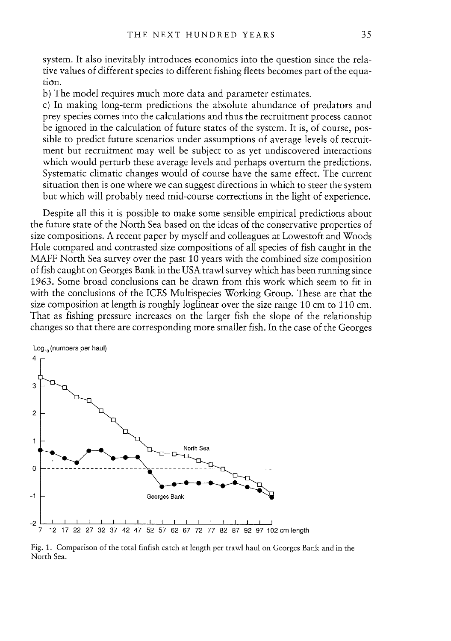system. Tt also inevitably introduces economics into the question since the rela tive values of different species to different fishing fleets becomes par<sup>t</sup> of the equa tion.

b) The model requires much more data and parameter estimates.

c) In making long-term predictions the absolute abundance of predators and prey species comes into the caiculations and thus the recruitment process cannot be ignored in the calculation of future states of the system. It is, of course, possible to predict future scenarios under assumptions of average levels of recruit ment but recruitment may well be subject to as ye<sup>t</sup> undiscovered interactions which would perturb these average levels and perhaps overturn the predictions. Systematic climatic changes would of course have the same effect. The current situation then is one where we can sugges<sup>t</sup> directions in which to steer the system but which will probably need mid-course corrections in the light of experience.

Despite all this it is possible to make some sensible empirical predictions about the future state of the North Sea based on the ideas of the conservative properties of size compositions. A recent paper by myself and colleagues at Lowestoft and Woods Hole compared and contrasted size compositions of all species of fish caught in the MAFF North Sea survey over the pas<sup>t</sup> 10 years with the combined size composition of fish caught on Georges Bank in the USA trawl survey which has been running since 1963. Some broad conciusions can be drawn from this work which seem to fit in with the conclusions of the ICES Multispecies Working Group. These are that the size composition at length is roughly loglinear over the size range 10 cm to 110 cm. That as fishing pressure increases on the larger fish the slope of the relationship changes so that there are corresponding more smaller fish. In the case of the Georges



Fig. 1. Comparison of the total finfish catch at length per trawl haul on Georges Bank and in the North Sea.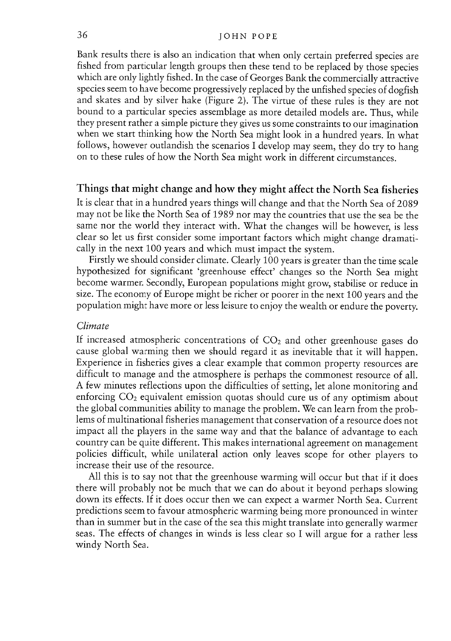#### JOHN POPE

Bank resuits there is also an indication that when only certain preferred species are fished from particular length groups then these tend to be replaced by those species which are only lightly fished. In the case of Georges Bank the commercially attractive species seem to have become progressively replaced by the unfished species of dogfish and skates and by silver hake (Figure 2). The virtue of these rules is they are not bound to a particular species assembiage as more detailed models are. Thus, while they presen<sup>t</sup> rather <sup>a</sup> simple <sup>p</sup>icture they <sup>g</sup>ives us some constraints to our imagination when we start thinking how the North Sea might look in <sup>a</sup> hundred years. In what follows, however outlandish the scenarios <sup>I</sup> develop may seem, they do try to hang on to these rules of how the North Sea might work in different circumstances.

## Things that might change and how they might affect the North Sea fisheries

It is clear that in a hundred years things will change and that the North Sea of 2089 may not be like the North Sea of 1989 nor may the countries that use the sea be the same nor the world they interact with. What the changes will be however, is less clear so let us first consider some important factors which might change dramati cally in the next <sup>100</sup> years and which must impact the system.

Firstly we should consider climate. Clearly <sup>100</sup> years is greater than the time scale hypothesized for significant 'greenhouse effect' changes so the North Sea might become warmer. Secondly, European populations might grow, stabilise or reduce in size. The economy of Europe might be richer or poorer in the next <sup>100</sup> years and the population might have more or less leisure to enjoy the wealth or endure the poverty.

#### Climate

If increased atmospheric concentrations of  $CO<sub>2</sub>$  and other greenhouse gases do cause <sup>g</sup>lobal warming then we should regar<sup>d</sup> it as inevitable that it will happen. Experience in fisheries <sup>g</sup>ives <sup>a</sup> clear example that common property resources are difficult to manage and the atmosphere is perhaps the commonest resource of all. A few minutes reflections upon the difficulties of setting, let alone monitoring and enforcing  $CO<sub>2</sub>$  equivalent emission quotas should cure us of any optimism about the <sup>g</sup>lobal communities ability to manage the problem. We can learn from the pro<sup>b</sup> lems of multinational fisheries managemen<sup>t</sup> that conservation of <sup>a</sup> resource does not impact ali the <sup>p</sup>layers in the same way and that the balance of advantage to each country can be quite different. This makes international agreemen<sup>t</sup> on managemen<sup>t</sup> policies difficult, while unilateral action only leaves scope for other <sup>p</sup>layers to increase their use of the resource.

Ali this is to say not that the greenhouse warming will occur but that if it does there will probably not be much that we can do about it beyond perhaps slowing down its effects. If it does occur then we can expec<sup>t</sup> <sup>a</sup> warmer North Sea. Current predictions seem to favour atmospheric warming being more pronounced in winter than in summer but in the case of the sea this might translate into generally warmer seas. The effects of changes in winds is less clear so I will argue for a rather less windy North Sea.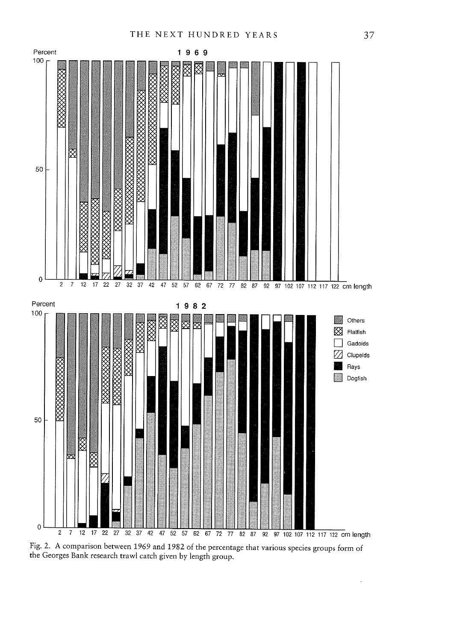

Fig. 2. <sup>A</sup> comparison between <sup>1969</sup> and <sup>1982</sup> of the percentage that various species groups form of the Georges Bank research trawi catch <sup>g</sup>iven by length group.

 $\ddot{\phantom{0}}$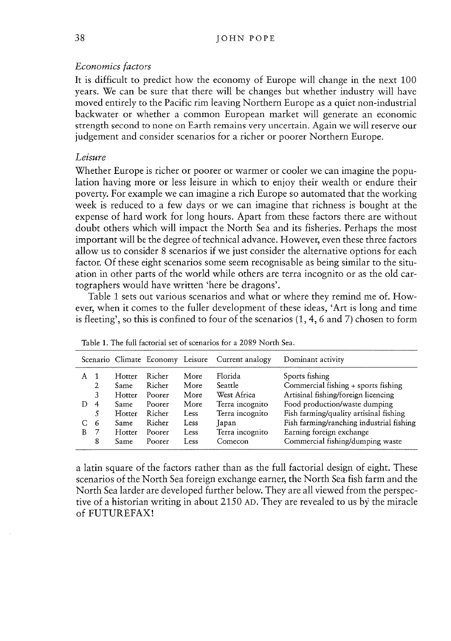## Economics factors

Tt is difficult to predict how the economy of Europe will change in the next 100 years. We can be sure that there will be changes but whether industry will have moved entirely to the Pacific rim leaving Northern Europe as <sup>a</sup> quiet non-industrial backwater or whether <sup>a</sup> common European market will generate an economic strength second to none on Earth remains very uncertain. Again we will reserve our judgement and consider scenarios for <sup>a</sup> richer or poorer Northern Europe.

## Leisure

Whether Europe is richer or poorer or warmer or cooler we can imagine the popu lation having more or less leisure in which to enjoy their wealth or endure their poverty. For example we can imagine <sup>a</sup> rich Europe so automated that the working week is reduced to <sup>a</sup> few days or we can imagine that richness is bought at the expense of hard work for long hours. Apart from these factors there are without doubt others which will impact the North Sea and its fisheries. Perhaps the most important will be the degree of technical advance. However, even these three factors allow us to consider 8 scenarios if we just consider the alternative options for each factor. Of these eight scenarios some seem recognisable as being similar to the situation in other parts of the world while others are terra incognito or as the old car tographers would have written 'here be dragons'.

Table 1 sets out various scenarios and what or where they remind me of. However, when it comes to the fuller development of these ideas, 'Art is long and time is fleeting', so this is confined to four of the scenarios (1,4, 6 and 7) chosen to form

|     |   |             |        |             | Scenario Climate Economy Leisure Current analogy | Dominant activity                        |
|-----|---|-------------|--------|-------------|--------------------------------------------------|------------------------------------------|
| A 1 |   | Hotter      | Richer | More        | Florida                                          | Sports fishing                           |
|     | 2 | Same        | Richer | More        | Seattle                                          | Commercial fishing + sports fishing      |
|     | 3 | Hotter      | Poorer | More        | West Africa                                      | Artisinal fishing/foreign licencing      |
| D   | 4 | <b>Same</b> | Poorer | More        | Terra incognito                                  | Food production/waste dumping            |
|     | 5 | Hotter      | Richer | Less        | Terra incognito                                  | Fish farming/quality artisinal fishing   |
| С   | 6 | Same        | Richer | <b>Less</b> | Japan                                            | Fish farming/ranching industrial fishing |
| B   | 7 | Hotter      | Poorer | Less        | Terra incognito                                  | Earning foreign exchange                 |
|     | 8 | Same        | Poorer | Less        | Comecon                                          | Commercial fishing/dumping waste         |

Table 1. The full factorial set of scenarios for <sup>a</sup> 2089 North Sea.

a latin square of the factors rather than as the full factorial design of eight. These scenarios of the North Sea foreign exchange earner, the North Sea fish farm and the North Sea larder are developed further below. They are all viewed from the perspec tive of a historian writing in about 2150 AD. They are revealed to us by the miracle of FUTUREFAX!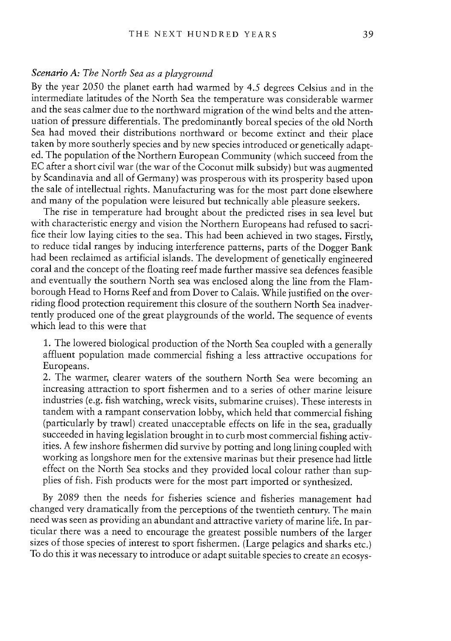## Scenario A: The North Sea as <sup>a</sup> <sup>p</sup>layground

By the year <sup>2050</sup> the <sup>p</sup>lanet earth had warmed by 4.5 degrees Celsius and in the intermediate latitudes of the North Sea the temperature was considerable warmer and the seas calmer due to the northward migration of the wind belts and the atten uation of pressure differentials. The predominantly boreal species of the old North Sea had moved their distributions northward or become extinct and their <sup>p</sup>lace taken by more southerly species and by new species introduced or genetically adapt ed. The population of the Northern European Community (which succeed from the EC after a short civil war (the war of the Coconut milk subsidy) but was augmented by Scandinavia and ali of Germany) was prosperous with its prosperity based upon the sale of intellectual rights. Manufacturing was for the most part done elsewhere and many of the population were leisured but technically able <sup>p</sup>leasure seekers.

The rise in temperature had brought about the predicted rises in sea level but with characteristic energy and vision the Northern Europeans had refused to sacri fice their low laying cities to the sea. This had been achieved in two stages. Firstly, to reduce tidal ranges by inducing interference patterns, parts of the Dogger Bank had been reclaimed as artificial islands. The development of genetically engineered coral and the concept of the floating reef made further massive sea defences feasible and eventually the southern North sea was enclosed along the line from the Flam borough Head to Horns Reef and from Dover to Calais. While justified on the over riding flood protection requirement this closure of the southern North Sea inadver tently produced one of the great <sup>p</sup>laygrounds of the world. The sequence of events which lead to this were that

1. The lowered biological production of the North Sea coupled with <sup>a</sup> generally affluent population made commercial fishing <sup>a</sup> less attractive occupations for Europeans.

2. The warmer, clearer waters of the southern North Sea were becoming an increasing attraction to sport fishermen and to <sup>a</sup> series of other marine leisure industries (e.g. fish watching, wreck visits, submarine cruises). These interests in tandem with <sup>a</sup> ramparit conservation lobby, which held that commercial fishing (particularly by trawl) created unacceptable effects on life in the sea, gradually succeeded in having legislation brought in to curb most commercial fishing activities. <sup>A</sup> few inshore fishermen did survive by potting and long lining coupled with working as longshore men for the extensive marinas but their presence had little effect on the North Sea stocks and they provided local colour rather than sup <sup>p</sup>lies of fish. Fish products were for the most part imported or synthesized.

By <sup>2089</sup> then the needs for fisheries science and fisheries management had changed very dramatically from the perceptions of the twentieth century. The main need was seen as providing an abundant and attractive variety of marine life. In par ticular there was <sup>a</sup> need to encourage the greatest possible numbers of the larger sizes of those species of interest to sport fishermen. (Large pelagics and sharks etc.) To do this it was necessary to introduce or adapt suitable species to create an ecosys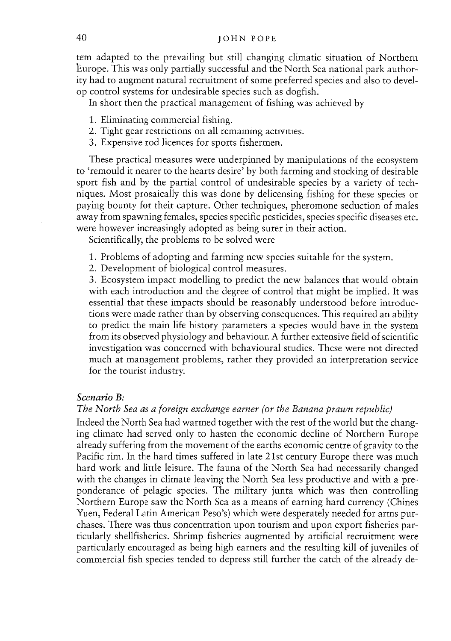tern adapted to the prevailing but still changing ciimatic situation of Northern Europe. This was only partially successful and the North Sea national park author ity had to augmen<sup>t</sup> natural recruitment of some preferred species and also to devel op control systems for undesirabie species such as dogfish.

In short then the practical managemen<sup>t</sup> of fishing was achieved by

- 1. Eliminating commercial fishing.
- 2. Tight gear restrictions on ali remaining activities.
- 3. Expensive rod licences for sports fishermen.

These practical measures were underpinned by manipulations of the ecosystem to 'remouid it nearer to the hearts desire' by both farming and stocking of desirable spor<sup>t</sup> fish and by the partial control of undesirable species by <sup>a</sup> variety of tech niques. Most prosaically this was done by delicensing fishing for these species or paying bounty for their capture. Other techniques, pheromone seduction of males away from spawning females, species specific pesticides, species specific diseases etc. were however increasingly adopted as being surer in their action.

Scientifically, the problems to be solved were

- 1. Problems of adopting and farming new species suitable for the system.
- 2. Development of biological control measures.

3. Ecosystem impact modelling to predict the new balances that would obtain with each introduction and the degree of control that might be implied. It was essential that these impacts should be reasonably understood before introduc tions were made rather than by observing consequences. This required an ability to predict the main life history parameters <sup>a</sup> species wouid have in the system from its observed physiology and behaviour. A further extensive field of scientific investigation was concerned with behavioural studies. These were not directed much at managemen<sup>t</sup> problems, rather they provided an interpretation service for the tourist industry.

#### Scenario B:

#### The North Sea as <sup>a</sup> foreign exchange earner (or the Banana prawn republic)

Indeed the North Sea had warmed together with the rest of the world but the chang ing ciimate had served only to hasten the economic decline of Northern Europe already suffering from the movement of the earths economic centre of gravity to the Pacific rim. In the hard times suffered in late 2lst century Europe there was much hard work and little leisure. The fauna of the North Sea had necessarily changed with the changes in climate leaving the North Sea less productive and with <sup>a</sup> pre ponderance of pelagic species. The military junta which was then controlling Northern Europe saw the North Sea as <sup>a</sup> means of earning hard currency (Chines Yuen, Federal Latin American Peso's) which were desperately needed for arms pur chases. There was thus concentration upon tourism and upon expor<sup>t</sup> fisheries par ticularly sheilfisheries. Shrimp fisheries augmented by artificiai recruitment were particularly encouraged as being high earners and the resulting kiil of juveniles of commercial fish species tended to depress stiil further the catch of the already de-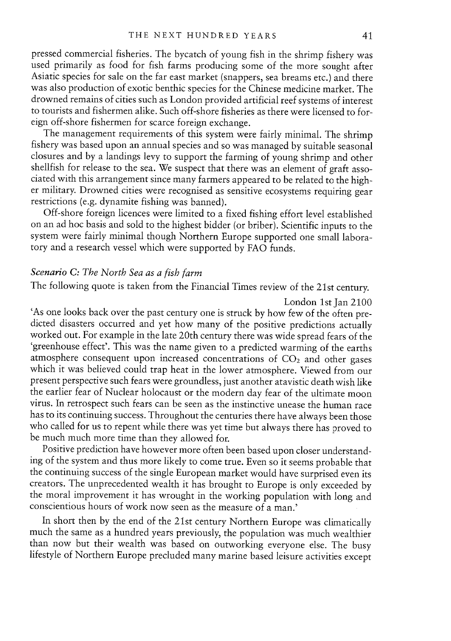pressed commercial fisheries. The bycatch of young fish in the shrimp fishery was used primarily as food for fish farms producing some of the more sought after Asiatic species for sale on the far east market (snappers, sea breams etc.) and there was also production of exotic benthic species for the Chinese medicine market. The drowned remains of cities such as London provided artificial reef systems of interest to tourists and fishermen alike. Such off-shore fisheries as there were licensed to for eign off-shore fishermen for scarce foreign exchange.

The management requirements of this system were fairly minimal. The shrimp fishery was based upon an annual species and so was managed by suitable seasonal closures and by <sup>a</sup> landings levy to support the farming of young shrimp and other shellfish for release to the sea. We suspect that there was an element of graft asso ciated with this arrangement since many farmers appeared to be related to the higher military. Drowned cities were recognised as sensitive ecosystems requiring gear restrictions (e.g. dynamite fishing was banned).

Off-shore foreign licences were limited to <sup>a</sup> fixed fishing effort level established on an ad hoc basis and sold to the highest bidder (or briber). Scientific inputs to the system were fairly minimal though Northern Europe supported one small labora tory and <sup>a</sup> research vessel which were supported by FAO funds.

# Scenario C: The North Sea as <sup>a</sup> fish farm

The following quote is taken from the Financial Times review of the 2lst century.

London 1st Jan 2100

'As one looks back over the past century one is struck by how few of the often predicted disasters occurred and yet how many of the positive predictions actually worked out. For example in the late 2Oth century there was wide spread fears of the 'greenhouse effect'. This was the name given to a predicted warming of the earths atmosphere consequent upon increased concentrations of  $CO<sub>2</sub>$  and other gases which it was believed could trap heat in the lower atmosphere. Viewed from our present perspective such fears were groundless, just another atavistic death wish like the earlier fear of Nuclear holocaust or the modern day fear of the ultimate moon virus. In retrospect such fears can be seen as the instinctive unease the human race has to its continuing success. Throughout the centuries there have always been those who called for us to repent while there was yet time but always there has proved to be much much more time than they allowed for.

Positive prediction have however more often been based upon closer understanding of the system and thus more likely to come true. Even so it seems probable that the continuing success of the single European market would have surprised even its creators. The unprecedented wealth it has brought to Europe is only exceeded by the moral improvement it has wrought in the working population with long and conscientious hours of work now seen as the measure of <sup>a</sup> man.'

In short then by the end of the 21st century Northern Europe was climatically much the same as a hundred years previously, the population was much wealthier than now but their wealth was based on outworking everyone else. lifestyle of Northern Europe precluded many marine based leisure activities except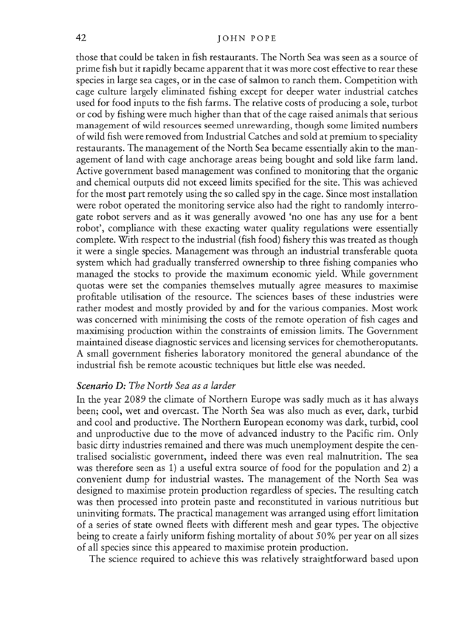those that could be taken in fish restaurants. The North Sea was seen as <sup>a</sup> source of prime fish but it rapidly became apparen<sup>t</sup> that it was more cost effective to rear these species in large sea cages, or in the case of salmon to ranch them. Competition with cage culture largely eliminated fishing excep<sup>t</sup> for deeper water industrial catches used for food inputs to the fish farms. The relative costs of producing <sup>a</sup> sole, turbot or cod by fishing were much higher than that of the cage raised animals that serious managemen<sup>t</sup> of wild resources seemed unrewarding, though some limited numbers of wild fish were removed from Industrial Catches and sold at premium to speciality restaurants. The managemen<sup>t</sup> of the North Sea became essentially akin to the man agemen<sup>t</sup> of land with cage anchorage areas being bought and sold like farm land. Active governmen<sup>t</sup> based managemen<sup>t</sup> was confined to monitoring that the organic and chemical outputs did not exceed limits specified for the site. This was achieved for the most par<sup>t</sup> remotely using the so called spy in the cage. Since most installation were robot operated the monitoring service also had the right to randomly interro gate robot servers and as it was generally avowed 'no one has any use for <sup>a</sup> bent robot', compliance with these exacting water quality regulations were essentially complete. With respec<sup>t</sup> to the industrial (fish food) fishery this was treated as though it were <sup>a</sup> single species. Management was through an industrial transferable quota system which had gradually transferred ownership to three fishing companies who managed the stocks to provide the maximum economic yield. While governmen<sup>t</sup> quotas were set the companies themselves mutually agree measures to maximise profitable utilisation of the resource. The sciences bases of these industries were rather modest and mostly provided by and for the various companies. Most work was concerned with minimising the costs of the remote operation of fish cages and maximising production within the constraints of emission limits. The Government maintained disease diagnostic services and licensing services for chemotheroputants. A small governmen<sup>t</sup> fisheries laboratory monitored the general abundance of the industrial fish be remote acoustic techniques but little else was needed.

#### Scenario D: The North Sea as <sup>a</sup> larder

In the year 2089 the climate of Northern Europe was sadly much as it has always been; cool, wet and overcast. The North Sea was also much as ever, dark, turbid and cool and productive. The Northern European economy was dark, turbid, cool and unproductive due to the move of advanced industry to the Pacific rim. Only basic dirty industries remained and there was much unemployment despite the cen tralised socialistic government, indeed there was even real malnutrition. The sea was therefore seen as 1) <sup>a</sup> useful extra source of food for the population and 2) <sup>a</sup> convenient dump for industrial wastes. The managemen<sup>t</sup> of the North Sea was designed to maximise protein production regardless of species. The resulting catch was then processed into protein paste and reconstituted in various nutritious but uninviting formats. The practical managemen<sup>t</sup> was arranged using effort limitation of a series of state owned fleets with different mesh and gear types. The objective being to create <sup>a</sup> fairly uniform fishing mortality of about 50% per year on ali sizes of all species since this appeared to maximise protein production.

The science required to achieve this was relatively straightforward based upon